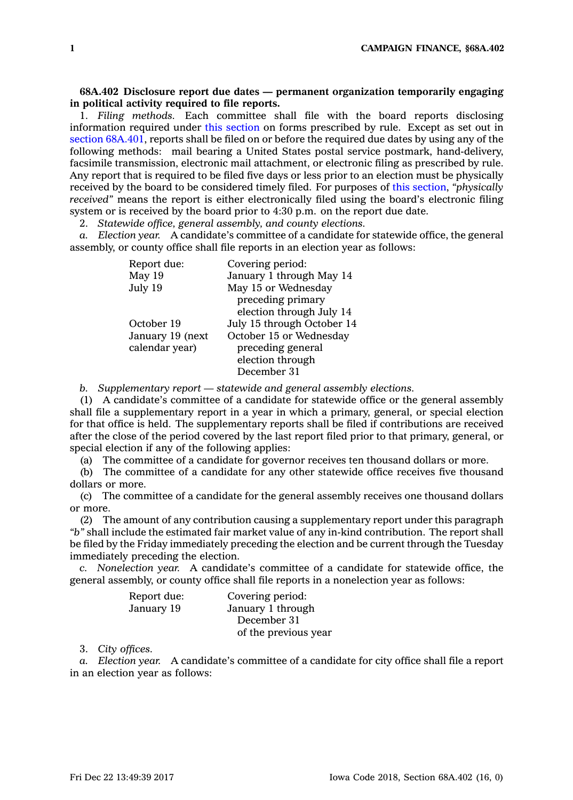## **68A.402 Disclosure report due dates — permanent organization temporarily engaging in political activity required to file reports.**

1. *Filing methods.* Each committee shall file with the board reports disclosing information required under this [section](https://www.legis.iowa.gov/docs/code/68A.402.pdf) on forms prescribed by rule. Except as set out in section [68A.401](https://www.legis.iowa.gov/docs/code/68A.401.pdf), reports shall be filed on or before the required due dates by using any of the following methods: mail bearing <sup>a</sup> United States postal service postmark, hand-delivery, facsimile transmission, electronic mail attachment, or electronic filing as prescribed by rule. Any report that is required to be filed five days or less prior to an election must be physically received by the board to be considered timely filed. For purposes of this [section](https://www.legis.iowa.gov/docs/code/68A.402.pdf), *"physically received"* means the report is either electronically filed using the board's electronic filing system or is received by the board prior to 4:30 p.m. on the report due date.

2. *Statewide office, general assembly, and county elections.*

*a. Election year.* A candidate's committee of <sup>a</sup> candidate for statewide office, the general assembly, or county office shall file reports in an election year as follows:

| Report due:      | Covering period:           |
|------------------|----------------------------|
| May 19           | January 1 through May 14   |
| July 19          | May 15 or Wednesday        |
|                  | preceding primary          |
|                  | election through July 14   |
| October 19       | July 15 through October 14 |
| January 19 (next | October 15 or Wednesday    |
| calendar year)   | preceding general          |
|                  | election through           |
|                  | December 31                |

*b. Supplementary report —statewide and general assembly elections.*

(1) A candidate's committee of <sup>a</sup> candidate for statewide office or the general assembly shall file <sup>a</sup> supplementary report in <sup>a</sup> year in which <sup>a</sup> primary, general, or special election for that office is held. The supplementary reports shall be filed if contributions are received after the close of the period covered by the last report filed prior to that primary, general, or special election if any of the following applies:

(a) The committee of <sup>a</sup> candidate for governor receives ten thousand dollars or more.

(b) The committee of <sup>a</sup> candidate for any other statewide office receives five thousand dollars or more.

(c) The committee of <sup>a</sup> candidate for the general assembly receives one thousand dollars or more.

(2) The amount of any contribution causing <sup>a</sup> supplementary report under this paragraph *"b"* shall include the estimated fair market value of any in-kind contribution. The report shall be filed by the Friday immediately preceding the election and be current through the Tuesday immediately preceding the election.

*c. Nonelection year.* A candidate's committee of <sup>a</sup> candidate for statewide office, the general assembly, or county office shall file reports in <sup>a</sup> nonelection year as follows:

| Report due: | Covering period:     |
|-------------|----------------------|
| January 19  | January 1 through    |
|             | December 31          |
|             | of the previous year |

3. *City offices.*

*a. Election year.* A candidate's committee of <sup>a</sup> candidate for city office shall file <sup>a</sup> report in an election year as follows: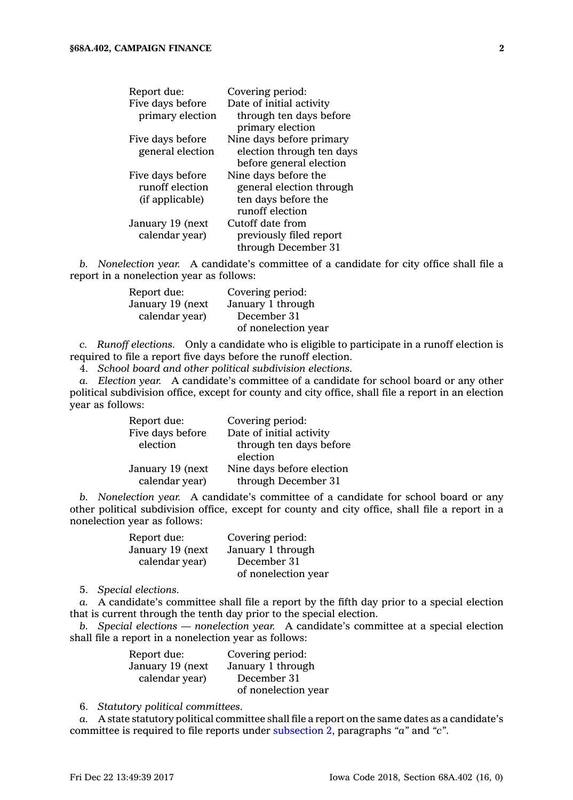| Report due:      | Covering period:          |
|------------------|---------------------------|
| Five days before | Date of initial activity  |
| primary election | through ten days before   |
|                  | primary election          |
| Five days before | Nine days before primary  |
| general election | election through ten days |
|                  | before general election   |
| Five days before | Nine days before the      |
| runoff election  | general election through  |
| (if applicable)  | ten days before the       |
|                  | runoff election           |
| January 19 (next | Cutoff date from          |
| calendar year)   | previously filed report   |
|                  | through December 31       |

*b. Nonelection year.* A candidate's committee of <sup>a</sup> candidate for city office shall file <sup>a</sup> report in <sup>a</sup> nonelection year as follows:

| Report due:      | Covering period:    |
|------------------|---------------------|
| January 19 (next | January 1 through   |
| calendar year)   | December 31         |
|                  | of nonelection year |

*c. Runoff elections.* Only <sup>a</sup> candidate who is eligible to participate in <sup>a</sup> runoff election is required to file <sup>a</sup> report five days before the runoff election.

4. *School board and other political subdivision elections.*

*a. Election year.* A candidate's committee of <sup>a</sup> candidate for school board or any other political subdivision office, except for county and city office, shall file <sup>a</sup> report in an election year as follows:

| Report due:      | Covering period:          |
|------------------|---------------------------|
| Five days before | Date of initial activity  |
| election         | through ten days before   |
|                  | election                  |
| January 19 (next | Nine days before election |
| calendar year)   | through December 31       |

*b. Nonelection year.* A candidate's committee of <sup>a</sup> candidate for school board or any other political subdivision office, except for county and city office, shall file <sup>a</sup> report in <sup>a</sup> nonelection year as follows:

| Report due:      | Covering period:    |
|------------------|---------------------|
| January 19 (next | January 1 through   |
| calendar year)   | December 31         |
|                  | of nonelection year |

5. *Special elections.*

*a.* A candidate's committee shall file <sup>a</sup> report by the fifth day prior to <sup>a</sup> special election that is current through the tenth day prior to the special election.

*b. Special elections — nonelection year.* A candidate's committee at <sup>a</sup> special election shall file <sup>a</sup> report in <sup>a</sup> nonelection year as follows:

| Report due:      | Covering period:    |
|------------------|---------------------|
| January 19 (next | January 1 through   |
| calendar year)   | December 31         |
|                  | of nonelection year |

6. *Statutory political committees.*

*a.* A state statutory political committee shall file <sup>a</sup> report on the same dates as <sup>a</sup> candidate's committee is required to file reports under [subsection](https://www.legis.iowa.gov/docs/code/68A.402.pdf) 2, paragraphs *"a"* and *"c"*.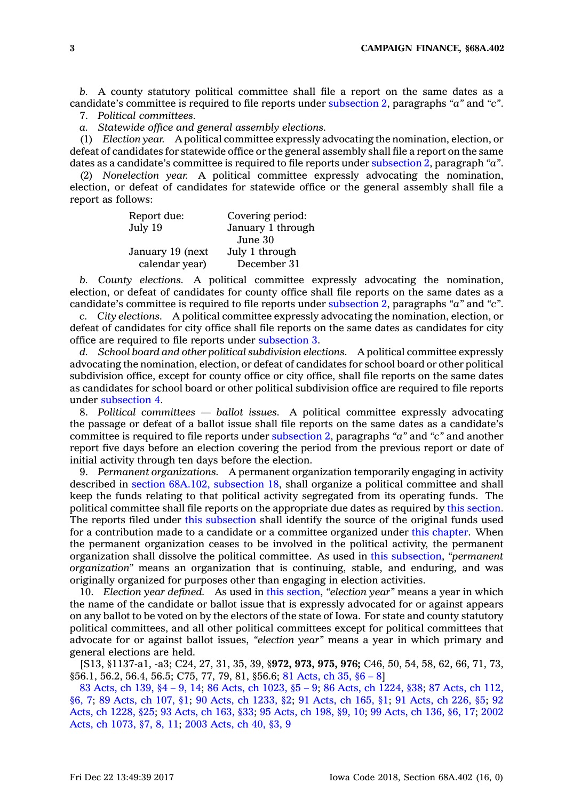*b.* A county statutory political committee shall file <sup>a</sup> report on the same dates as <sup>a</sup> candidate's committee is required to file reports under [subsection](https://www.legis.iowa.gov/docs/code/68A.402.pdf) 2, paragraphs *"a"* and *"c"*.

7. *Political committees.*

*a. Statewide office and general assembly elections.*

(1) *Election year.* A political committee expressly advocating the nomination, election, or defeat of candidates for statewide office or the general assembly shall file <sup>a</sup> report on the same dates as <sup>a</sup> candidate's committee is required to file reports under [subsection](https://www.legis.iowa.gov/docs/code/68A.402.pdf) 2, paragraph *"a"*.

(2) *Nonelection year.* A political committee expressly advocating the nomination, election, or defeat of candidates for statewide office or the general assembly shall file <sup>a</sup> report as follows:

| Report due:      | Covering period:  |
|------------------|-------------------|
| July 19          | January 1 through |
|                  | June 30           |
| January 19 (next | July 1 through    |
| calendar year)   | December 31       |

*b. County elections.* A political committee expressly advocating the nomination, election, or defeat of candidates for county office shall file reports on the same dates as <sup>a</sup> candidate's committee is required to file reports under [subsection](https://www.legis.iowa.gov/docs/code/68A.402.pdf) 2, paragraphs *"a"* and *"c"*.

*c. City elections.* A political committee expressly advocating the nomination, election, or defeat of candidates for city office shall file reports on the same dates as candidates for city office are required to file reports under [subsection](https://www.legis.iowa.gov/docs/code/68A.402.pdf) 3.

*d. School board and other political subdivision elections.* A political committee expressly advocating the nomination, election, or defeat of candidates for school board or other political subdivision office, except for county office or city office, shall file reports on the same dates as candidates for school board or other political subdivision office are required to file reports under [subsection](https://www.legis.iowa.gov/docs/code/68A.402.pdf) 4.

8. *Political committees — ballot issues.* A political committee expressly advocating the passage or defeat of <sup>a</sup> ballot issue shall file reports on the same dates as <sup>a</sup> candidate's committee is required to file reports under [subsection](https://www.legis.iowa.gov/docs/code/68A.402.pdf) 2, paragraphs *"a"* and *"c"* and another report five days before an election covering the period from the previous report or date of initial activity through ten days before the election.

9. *Permanent organizations.* A permanent organization temporarily engaging in activity described in section 68A.102, [subsection](https://www.legis.iowa.gov/docs/code/68A.102.pdf) 18, shall organize <sup>a</sup> political committee and shall keep the funds relating to that political activity segregated from its operating funds. The political committee shall file reports on the appropriate due dates as required by this [section](https://www.legis.iowa.gov/docs/code/68A.402.pdf). The reports filed under this [subsection](https://www.legis.iowa.gov/docs/code/68A.402.pdf) shall identify the source of the original funds used for <sup>a</sup> contribution made to <sup>a</sup> candidate or <sup>a</sup> committee organized under this [chapter](https://www.legis.iowa.gov/docs/code//68A.pdf). When the permanent organization ceases to be involved in the political activity, the permanent organization shall dissolve the political committee. As used in this [subsection](https://www.legis.iowa.gov/docs/code/68A.402.pdf), *"permanent organization"* means an organization that is continuing, stable, and enduring, and was originally organized for purposes other than engaging in election activities.

10. *Election year defined.* As used in this [section](https://www.legis.iowa.gov/docs/code/68A.402.pdf), *"election year"* means <sup>a</sup> year in which the name of the candidate or ballot issue that is expressly advocated for or against appears on any ballot to be voted on by the electors of the state of Iowa. For state and county statutory political committees, and all other political committees except for political committees that advocate for or against ballot issues, *"election year"* means <sup>a</sup> year in which primary and general elections are held.

[S13, §1137-a1, -a3; C24, 27, 31, 35, 39, §**972, 973, 975, 976;** C46, 50, 54, 58, 62, 66, 71, 73, §56.1, 56.2, 56.4, 56.5; C75, 77, 79, 81, §56.6; 81 [Acts,](https://www.legis.iowa.gov/docs/acts/1981/CH0035.pdf) ch 35, §6 – 8]

83 [Acts,](https://www.legis.iowa.gov/docs/acts/83/CH0139.pdf) ch 139, §4 – 9, 14; 86 Acts, ch [1023,](https://www.legis.iowa.gov/docs/acts/86/CH1023.pdf) §5 – 9; 86 Acts, ch [1224,](https://www.legis.iowa.gov/docs/acts/86/CH1224.pdf) §38; 87 [Acts,](https://www.legis.iowa.gov/docs/acts/87/CH0112.pdf) ch 112, [§6,](https://www.legis.iowa.gov/docs/acts/87/CH0112.pdf) 7; 89 [Acts,](https://www.legis.iowa.gov/docs/acts/89/CH0107.pdf) ch 107, §1; 90 Acts, ch [1233,](https://www.legis.iowa.gov/docs/acts/90/CH1233.pdf) §2; 91 [Acts,](https://www.legis.iowa.gov/docs/acts/91/CH0165.pdf) ch 165, §1; 91 [Acts,](https://www.legis.iowa.gov/docs/acts/91/CH0226.pdf) ch 226, §5; [92](https://www.legis.iowa.gov/docs/acts/92/CH1228.pdf) Acts, ch [1228,](https://www.legis.iowa.gov/docs/acts/92/CH1228.pdf) §25; 93 [Acts,](https://www.legis.iowa.gov/docs/acts/93/CH0163.pdf) ch 163, §33; 95 [Acts,](https://www.legis.iowa.gov/docs/acts/95/CH0198.pdf) ch 198, §9, 10; 99 [Acts,](https://www.legis.iowa.gov/docs/acts/99/CH0136.pdf) ch 136, §6, 17; [2002](https://www.legis.iowa.gov/docs/acts/2002/CH1073.pdf) Acts, ch [1073,](https://www.legis.iowa.gov/docs/acts/2002/CH1073.pdf) §7, 8, 11; 2003 [Acts,](https://www.legis.iowa.gov/docs/acts/2003/CH0040.pdf) ch 40, §3, 9